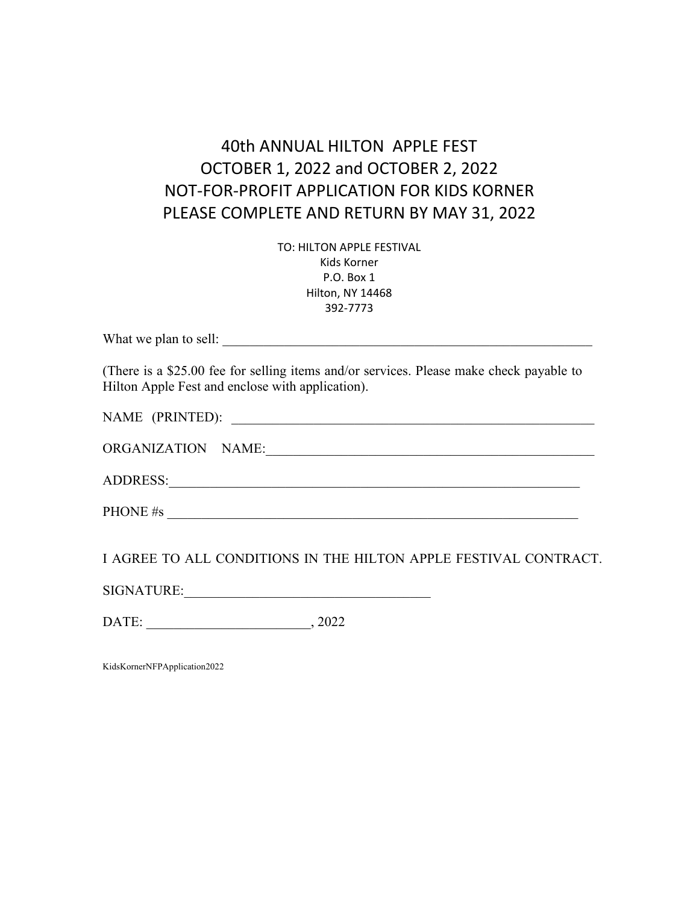# 40th ANNUAL HILTON APPLE FEST OCTOBER 1, 2022 and OCTOBER 2, 2022 NOT-FOR-PROFIT APPLICATION FOR KIDS KORNER PLEASE COMPLETE AND RETURN BY MAY 31, 2022

TO: HILTON APPLE FESTIVAL Kids Korner P.O. Box 1 Hilton, NY 14468 392-7773

What we plan to sell:

(There is a \$25.00 fee for selling items and/or services. Please make check payable to Hilton Apple Fest and enclose with application).

NAME (PRINTED):

ADDRESS:\_\_\_\_\_\_\_\_\_\_\_\_\_\_\_\_\_\_\_\_\_\_\_\_\_\_\_\_\_\_\_\_\_\_\_\_\_\_\_\_\_\_\_\_\_\_\_\_\_\_\_\_\_\_\_\_\_\_\_\_

PHONE  $\#s$ 

I AGREE TO ALL CONDITIONS IN THE HILTON APPLE FESTIVAL CONTRACT.

SIGNATURE:\_\_\_\_\_\_\_\_\_\_\_\_\_\_\_\_\_\_\_\_\_\_\_\_\_\_\_\_\_\_\_\_\_\_\_\_

DATE: \_\_\_\_\_\_\_\_\_\_\_\_\_\_\_\_\_\_\_\_\_\_\_\_, 2022

KidsKornerNFPApplication2022